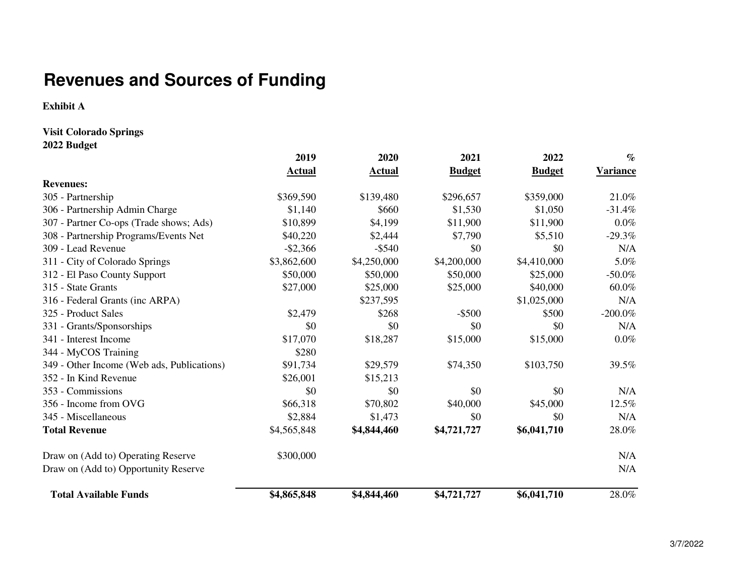# **Revenues and Sources of Funding**

**Exhibit A**

**Visit Colorado Springs**

**2022 Budget**

|                                            | 2019          | 2020          | 2021          | 2022          | $\%$            |
|--------------------------------------------|---------------|---------------|---------------|---------------|-----------------|
|                                            | <b>Actual</b> | <b>Actual</b> | <b>Budget</b> | <b>Budget</b> | <b>Variance</b> |
| <b>Revenues:</b>                           |               |               |               |               |                 |
| 305 - Partnership                          | \$369,590     | \$139,480     | \$296,657     | \$359,000     | 21.0%           |
| 306 - Partnership Admin Charge             | \$1,140       | \$660         | \$1,530       | \$1,050       | $-31.4%$        |
| 307 - Partner Co-ops (Trade shows; Ads)    | \$10,899      | \$4,199       | \$11,900      | \$11,900      | $0.0\%$         |
| 308 - Partnership Programs/Events Net      | \$40,220      | \$2,444       | \$7,790       | \$5,510       | $-29.3%$        |
| 309 - Lead Revenue                         | $-$ \$2,366   | $-$ \$540     | \$0           | \$0           | N/A             |
| 311 - City of Colorado Springs             | \$3,862,600   | \$4,250,000   | \$4,200,000   | \$4,410,000   | 5.0%            |
| 312 - El Paso County Support               | \$50,000      | \$50,000      | \$50,000      | \$25,000      | $-50.0\%$       |
| 315 - State Grants                         | \$27,000      | \$25,000      | \$25,000      | \$40,000      | 60.0%           |
| 316 - Federal Grants (inc ARPA)            |               | \$237,595     |               | \$1,025,000   | N/A             |
| 325 - Product Sales                        | \$2,479       | \$268         | $-$ \$500     | \$500         | $-200.0\%$      |
| 331 - Grants/Sponsorships                  | \$0           | \$0           | \$0           | \$0           | N/A             |
| 341 - Interest Income                      | \$17,070      | \$18,287      | \$15,000      | \$15,000      | $0.0\%$         |
| 344 - MyCOS Training                       | \$280         |               |               |               |                 |
| 349 - Other Income (Web ads, Publications) | \$91,734      | \$29,579      | \$74,350      | \$103,750     | 39.5%           |
| 352 - In Kind Revenue                      | \$26,001      | \$15,213      |               |               |                 |
| 353 - Commissions                          | \$0           | \$0           | \$0           | \$0           | N/A             |
| 356 - Income from OVG                      | \$66,318      | \$70,802      | \$40,000      | \$45,000      | 12.5%           |
| 345 - Miscellaneous                        | \$2,884       | \$1,473       | \$0           | \$0           | N/A             |
| <b>Total Revenue</b>                       | \$4,565,848   | \$4,844,460   | \$4,721,727   | \$6,041,710   | 28.0%           |
| Draw on (Add to) Operating Reserve         | \$300,000     |               |               |               | N/A             |
| Draw on (Add to) Opportunity Reserve       |               |               |               |               | N/A             |
| <b>Total Available Funds</b>               | \$4,865,848   | \$4,844,460   | \$4,721,727   | \$6,041,710   | 28.0%           |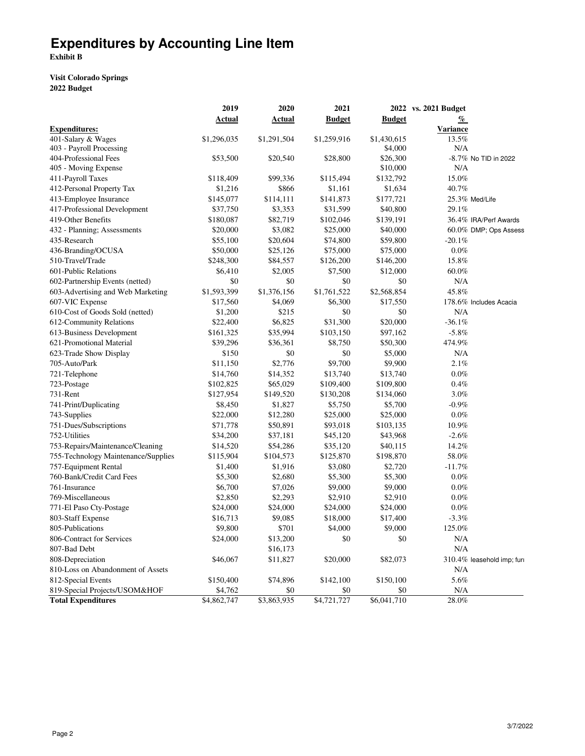# **Expenditures by Accounting Line Item**

**Exhibit B**

## **Visit Colorado Springs 2022 Budget**

|                                     | 2019        | 2020        | 2021          |               | 2022 vs. 2021 Budget       |
|-------------------------------------|-------------|-------------|---------------|---------------|----------------------------|
|                                     | Actual      | Actual      | <b>Budget</b> | <b>Budget</b> | $\frac{q}{\ell}$           |
| <b>Expenditures:</b>                |             |             |               |               | <b>Variance</b>            |
| 401-Salary & Wages                  | \$1,296,035 | \$1,291,504 | \$1,259,916   | \$1,430,615   | 13.5%                      |
| 403 - Payroll Processing            |             |             |               | \$4,000       | N/A                        |
| 404-Professional Fees               | \$53,500    | \$20,540    | \$28,800      | \$26,300      | -8.7% No TID in 2022       |
| 405 - Moving Expense                |             |             |               | \$10,000      | N/A                        |
| 411-Payroll Taxes                   | \$118,409   | \$99,336    | \$115,494     | \$132,792     | 15.0%                      |
| 412-Personal Property Tax           | \$1,216     | \$866       | \$1,161       | \$1,634       | 40.7%                      |
| 413-Employee Insurance              | \$145,077   | \$114,111   | \$141,873     | \$177,721     | 25.3% Med/Life             |
| 417-Professional Development        | \$37,750    | \$3,353     | \$31,599      | \$40,800      | 29.1%                      |
| 419-Other Benefits                  | \$180,087   | \$82,719    | \$102,046     | \$139,191     | 36.4% IRA/Perf Awards      |
| 432 - Planning; Assessments         | \$20,000    | \$3,082     | \$25,000      | \$40,000      | 60.0% DMP; Ops Assess      |
| 435-Research                        | \$55,100    | \$20,604    | \$74,800      | \$59,800      | $-20.1\%$                  |
| 436-Branding/OCUSA                  | \$50,000    | \$25,126    | \$75,000      | \$75,000      | $0.0\%$                    |
| 510-Travel/Trade                    | \$248,300   | \$84,557    | \$126,200     | \$146,200     | 15.8%                      |
| 601-Public Relations                | \$6,410     | \$2,005     | \$7,500       | \$12,000      | 60.0%                      |
| 602-Partnership Events (netted)     | \$0         | \$0         | \$0           | \$0           | N/A                        |
| 603-Advertising and Web Marketing   | \$1,593,399 | \$1,376,156 | \$1,761,522   | \$2,568,854   | 45.8%                      |
| 607-VIC Expense                     | \$17,560    | \$4,069     | \$6,300       | \$17,550      | 178.6% Includes Acacia     |
| 610-Cost of Goods Sold (netted)     | \$1,200     | \$215       | \$0           | \$0           | N/A                        |
| 612-Community Relations             | \$22,400    | \$6,825     | \$31,300      | \$20,000      | $-36.1%$                   |
| 613-Business Development            | \$161,325   | \$35,994    | \$103,150     | \$97,162      | $-5.8%$                    |
| 621-Promotional Material            | \$39,296    | \$36,361    | \$8,750       | \$50,300      | 474.9%                     |
| 623-Trade Show Display              | \$150       | \$0         | \$0           | \$5,000       | N/A                        |
| 705-Auto/Park                       | \$11,150    | \$2,776     | \$9,700       | \$9,900       | 2.1%                       |
| 721-Telephone                       | \$14,760    | \$14,352    | \$13,740      | \$13,740      | $0.0\%$                    |
| 723-Postage                         | \$102,825   | \$65,029    | \$109,400     | \$109,800     | 0.4%                       |
| 731-Rent                            | \$127,954   | \$149,520   | \$130,208     | \$134,060     | $3.0\%$                    |
| 741-Print/Duplicating               | \$8,450     | \$1,827     | \$5,750       | \$5,700       | $-0.9\%$                   |
| 743-Supplies                        | \$22,000    | \$12,280    | \$25,000      | \$25,000      | $0.0\%$                    |
| 751-Dues/Subscriptions              | \$71,778    | \$50,891    | \$93,018      | \$103,135     | 10.9%                      |
| 752-Utilities                       | \$34,200    | \$37,181    | \$45,120      | \$43,968      | $-2.6%$                    |
| 753-Repairs/Maintenance/Cleaning    | \$14,520    | \$54,286    | \$35,120      | \$40,115      | 14.2%                      |
| 755-Technology Maintenance/Supplies | \$115,904   | \$104,573   | \$125,870     | \$198,870     | 58.0%                      |
| 757-Equipment Rental                | \$1,400     | \$1,916     | \$3,080       | \$2,720       | $-11.7\%$                  |
| 760-Bank/Credit Card Fees           | \$5,300     | \$2,680     | \$5,300       | \$5,300       | $0.0\%$                    |
| 761-Insurance                       | \$6,700     | \$7,026     | \$9,000       | \$9,000       | $0.0\%$                    |
| 769-Miscellaneous                   | \$2,850     | \$2,293     | \$2,910       | \$2,910       | $0.0\%$                    |
| 771-El Paso Cty-Postage             | \$24,000    | \$24,000    | \$24,000      | \$24,000      | $0.0\%$                    |
| 803-Staff Expense                   | \$16,713    | \$9,085     | \$18,000      | \$17,400      | $-3.3\%$                   |
| 805-Publications                    | \$9,800     | \$701       | \$4,000       | \$9,000       | 125.0%                     |
| 806-Contract for Services           | \$24,000    | \$13,200    | \$0           | \$0           | $\rm N/A$                  |
| 807-Bad Debt                        |             | \$16,173    |               |               | N/A                        |
| 808-Depreciation                    | \$46,067    | \$11,827    | \$20,000      | \$82,073      | 310.4% leasehold imp; furi |
| 810-Loss on Abandonment of Assets   |             |             |               |               | N/A                        |
| 812-Special Events                  | \$150,400   | \$74,896    | \$142,100     | \$150,100     | 5.6%                       |
| 819-Special Projects/USOM&HOF       | \$4,762     | \$0         | \$0           | \$0           | N/A                        |
| <b>Total Expenditures</b>           | \$4,862,747 | \$3,863,935 | \$4,721,727   | \$6,041,710   | 28.0%                      |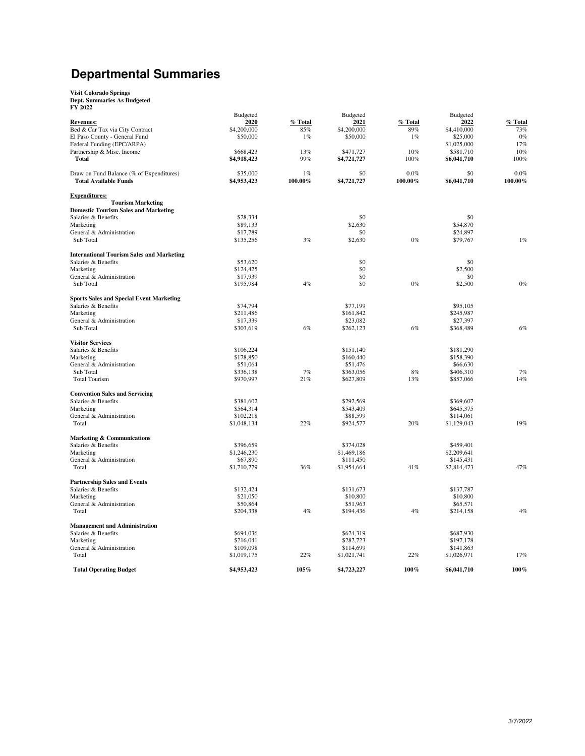## **Departmental Summaries**

# **Visit Colorado Springs Dept. Summaries As Budgeted FY 2022**

| F 1 4044                                         |                 |         |                 |         |                 |         |
|--------------------------------------------------|-----------------|---------|-----------------|---------|-----------------|---------|
|                                                  | <b>Budgeted</b> |         | <b>Budgeted</b> |         | <b>Budgeted</b> |         |
| <b>Revenues:</b>                                 | 2020            | % Total | 2021            | % Total | 2022            | % Total |
| Bed & Car Tax via City Contract                  | \$4,200,000     | 85%     | \$4,200,000     | 89%     | \$4,410,000     | 73%     |
| El Paso County - General Fund                    | \$50,000        | 1%      | \$50,000        | 1%      | \$25,000        | $0\%$   |
| Federal Funding (EPC/ARPA)                       |                 |         |                 |         | \$1,025,000     | 17%     |
| Partnership & Misc. Income                       | \$668,423       | 13%     | \$471,727       | 10%     | \$581,710       | 10%     |
| <b>Total</b>                                     | \$4,918,423     | 99%     | \$4,721,727     | 100%    | \$6,041,710     | 100%    |
| Draw on Fund Balance (% of Expenditures)         | \$35,000        | 1%      | \$0             | $0.0\%$ | \$0             | $0.0\%$ |
| <b>Total Available Funds</b>                     | \$4,953,423     | 100.00% | \$4,721,727     | 100.00% | \$6,041,710     | 100.00% |
| <b>Expenditures:</b>                             |                 |         |                 |         |                 |         |
| <b>Tourism Marketing</b>                         |                 |         |                 |         |                 |         |
| <b>Domestic Tourism Sales and Marketing</b>      |                 |         |                 |         |                 |         |
| Salaries & Benefits                              | \$28,334        |         | \$0             |         | \$0             |         |
| Marketing                                        | \$89,133        |         | \$2,630         |         | \$54,870        |         |
| General & Administration                         | \$17,789        |         | \$0             |         | \$24,897        |         |
| Sub Total                                        | \$135,256       | 3%      | \$2,630         | $0\%$   | \$79,767        | 1%      |
| <b>International Tourism Sales and Marketing</b> |                 |         |                 |         |                 |         |
| Salaries & Benefits                              | \$53,620        |         | \$0             |         | \$0             |         |
| Marketing                                        | \$124,425       |         | \$0             |         | \$2,500         |         |
| General & Administration                         | \$17,939        |         | \$0             |         | \$0             |         |
| Sub Total                                        | \$195,984       | 4%      | \$0             | $0\%$   | \$2,500         | $0\%$   |
|                                                  |                 |         |                 |         |                 |         |
| <b>Sports Sales and Special Event Marketing</b>  |                 |         |                 |         |                 |         |
| Salaries & Benefits                              | \$74,794        |         | \$77,199        |         | \$95,105        |         |
| Marketing                                        | \$211,486       |         | \$161,842       |         | \$245,987       |         |
| General & Administration                         | \$17,339        |         | \$23,082        |         | \$27,397        |         |
| Sub Total                                        | \$303,619       | 6%      | \$262,123       | 6%      | \$368,489       | $6\%$   |
|                                                  |                 |         |                 |         |                 |         |
| <b>Visitor Services</b>                          |                 |         |                 |         |                 |         |
| Salaries & Benefits                              | \$106,224       |         | \$151,140       |         | \$181,290       |         |
| Marketing                                        | \$178,850       |         | \$160,440       |         | \$158,390       |         |
| General & Administration                         | \$51,064        |         | \$51,476        |         | \$66,630        |         |
| Sub Total                                        | \$336,138       | 7%      | \$363,056       | 8%      | \$406,310       | 7%      |
| <b>Total Tourism</b>                             | \$970,997       | 21%     | \$627,809       | 13%     | \$857,066       | 14%     |
| <b>Convention Sales and Servicing</b>            |                 |         |                 |         |                 |         |
| Salaries & Benefits                              | \$381,602       |         | \$292,569       |         | \$369,607       |         |
| Marketing                                        | \$564,314       |         | \$543,409       |         | \$645,375       |         |
| General & Administration                         | \$102,218       |         | \$88,599        |         | \$114,061       |         |
| Total                                            | \$1,048,134     | 22%     |                 | 20%     | \$1,129,043     | 19%     |
|                                                  |                 |         | \$924,577       |         |                 |         |
| Marketing & Communications                       |                 |         |                 |         |                 |         |
| Salaries & Benefits                              | \$396,659       |         | \$374,028       |         | \$459,401       |         |
| Marketing                                        | \$1,246,230     |         | \$1,469,186     |         | \$2,209,641     |         |
| General & Administration                         | \$67,890        |         | \$111,450       |         | \$145,431       |         |
| Total                                            | \$1,710,779     | 36%     | \$1,954,664     | 41%     | \$2,814,473     | 47%     |
| <b>Partnership Sales and Events</b>              |                 |         |                 |         |                 |         |
| Salaries & Benefits                              | \$132,424       |         | \$131,673       |         | \$137,787       |         |
| Marketing                                        | \$21,050        |         | \$10,800        |         | \$10,800        |         |
| General & Administration                         | \$50,864        |         | \$51,963        |         | \$65,571        |         |
| Total                                            | \$204,338       | 4%      | \$194,436       | 4%      | \$214,158       | 4%      |
| <b>Management and Administration</b>             |                 |         |                 |         |                 |         |
| Salaries & Benefits                              | \$694,036       |         | \$624,319       |         | \$687,930       |         |
| Marketing                                        | \$216,041       |         | \$282,723       |         | \$197,178       |         |
| General & Administration                         | \$109,098       |         | \$114,699       |         | \$141,863       |         |
| Total                                            | \$1,019,175     | 22%     | \$1,021,741     | 22%     | \$1,026,971     | 17%     |
|                                                  |                 |         |                 |         |                 |         |
| <b>Total Operating Budget</b>                    | \$4,953,423     | 105%    | \$4,723,227     | 100%    | \$6,041,710     | 100%    |